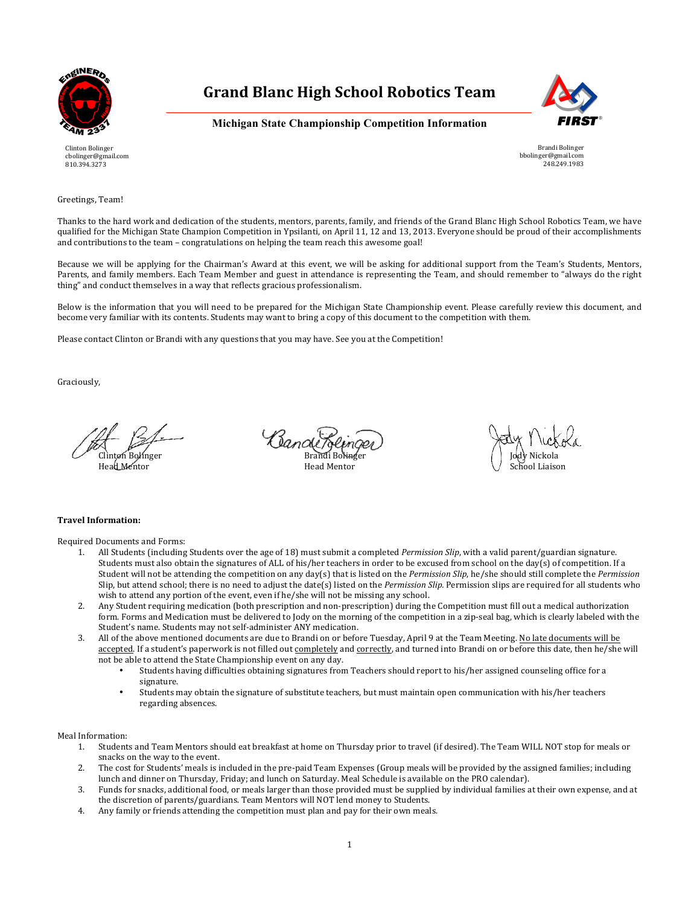

Clinton Bolinger cbolinger@gmail.com 810.394.3273

### **Grand Blanc High School Robotics Team**



**Michigan State Championship Competition Information**

Brandi Bolinger bbolinger@gmail.com 248.249.1983

Greetings, Team!

Thanks to the hard work and dedication of the students, mentors, parents, family, and friends of the Grand Blanc High School Robotics Team, we have qualified for the Michigan State Champion Competition in Ypsilanti, on April 11, 12 and 13, 2013. Everyone should be proud of their accomplishments and contributions to the team – congratulations on helping the team reach this awesome goal!

Because we will be applying for the Chairman's Award at this event, we will be asking for additional support from the Team's Students, Mentors, Parents, and family members. Each Team Member and guest in attendance is representing the Team, and should remember to "always do the right thing" and conduct themselves in a way that reflects gracious professionalism.

Below is the information that you will need to be prepared for the Michigan State Championship event. Please carefully review this document, and become very familiar with its contents. Students may want to bring a copy of this document to the competition with them.

Please contact Clinton or Brandi with any questions that you may have. See you at the Competition!

Graciously,

Banck Clinton Bolinger Brandi Bolinger Jody Nickola

Head Mentor News, Indianapolis and Mentor Head Mentor School Liaison (School Liaison

#### **Travel Information:**

Required Documents and Forms:

- 1. All Students (including Students over the age of 18) must submit a completed *Permission Slip*, with a valid parent/guardian signature. Students must also obtain the signatures of ALL of his/her teachers in order to be excused from school on the day(s) of competition. If a Student will not be attending the competition on any day(s) that is listed on the *Permission Slip*, he/she should still complete the *Permission* Slip, but attend school; there is no need to adjust the date(s) listed on the *Permission Slip*. Permission slips are required for all students who wish to attend any portion of the event, even if he/she will not be missing any school.
- 2. Any Student requiring medication (both prescription and non-prescription) during the Competition must fill out a medical authorization form. Forms and Medication must be delivered to Jody on the morning of the competition in a zip-seal bag, which is clearly labeled with the Student's name. Students may not self-administer ANY medication.
- 3. All of the above mentioned documents are due to Brandi on or before Tuesday, April 9 at the Team Meeting. No late documents will be accepted. If a student's paperwork is not filled out completely and correctly, and turned into Brandi on or before this date, then he/she will not be able to attend the State Championship event on any day.
	- Students having difficulties obtaining signatures from Teachers should report to his/her assigned counseling office for a signature.
	- Students may obtain the signature of substitute teachers, but must maintain open communication with his/her teachers regarding absences.

Meal Information:

- 1. Students and Team Mentors should eat breakfast at home on Thursday prior to travel (if desired). The Team WILL NOT stop for meals or snacks on the way to the event.
- 2. The cost for Students' meals is included in the pre-paid Team Expenses (Group meals will be provided by the assigned families; including lunch and dinner on Thursday, Friday; and lunch on Saturday. Meal Schedule is available on the PRO calendar).
- 3. Funds for snacks, additional food, or meals larger than those provided must be supplied by individual families at their own expense, and at the discretion of parents/guardians. Team Mentors will NOT lend money to Students.
- 4. Any family or friends attending the competition must plan and pay for their own meals.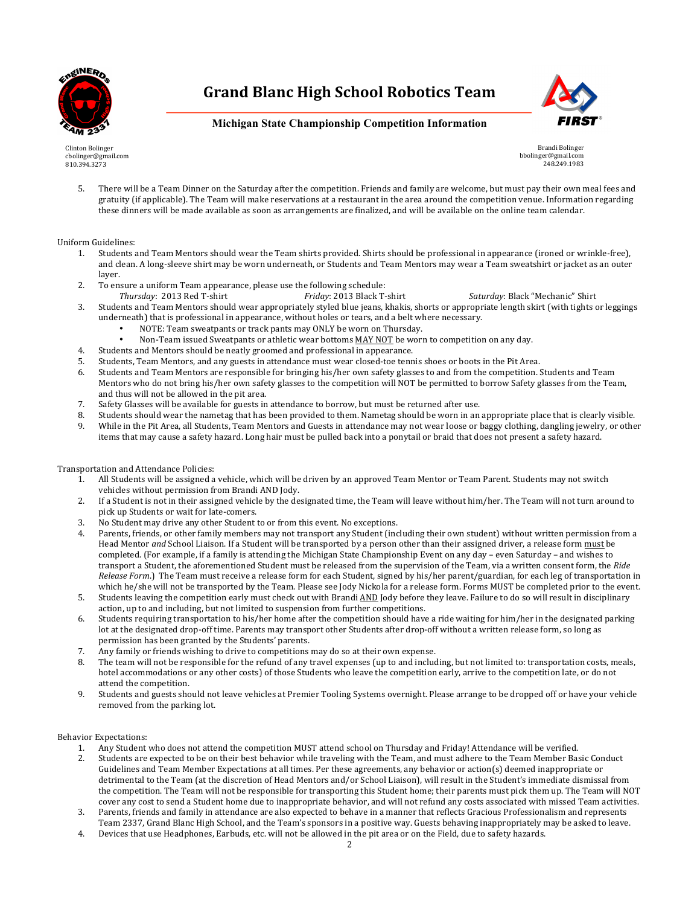



### **Michigan State Championship Competition Information**

Clinton Bolinger cbolinger@gmail.com 810.394.3273

Brandi Bolinger bbolinger@gmail.com 248.249.1983

5. There will be a Team Dinner on the Saturday after the competition. Friends and family are welcome, but must pay their own meal fees and gratuity (if applicable). The Team will make reservations at a restaurant in the area around the competition venue. Information regarding these dinners will be made available as soon as arrangements are finalized, and will be available on the online team calendar.

#### Uniform Guidelines:

- 1. Students and Team Mentors should wear the Team shirts provided. Shirts should be professional in appearance (ironed or wrinkle-free), and clean. A long-sleeve shirt may be worn underneath, or Students and Team Mentors may wear a Team sweatshirt or jacket as an outer layer.
- 2. To ensure a uniform Team appearance, please use the following schedule:
- *Thursday*: 2013 Red T-shirt *Friday*: 2013 Black T-shirt *Saturday*: Black "Mechanic" Shirt
- 3. Students and Team Mentors should wear appropriately styled blue jeans, khakis, shorts or appropriate length skirt (with tights or leggings underneath) that is professional in appearance, without holes or tears, and a belt where necessary.
	- NOTE: Team sweatpants or track pants may ONLY be worn on Thursday.
	- Non-Team issued Sweatpants or athletic wear bottoms MAY NOT be worn to competition on any day.
- 4. Students and Mentors should be neatly groomed and professional in appearance.
- 5. Students, Team Mentors, and any guests in attendance must wear closed-toe tennis shoes or boots in the Pit Area.
- 6. Students and Team Mentors are responsible for bringing his/her own safety glasses to and from the competition. Students and Team Mentors who do not bring his/her own safety glasses to the competition will NOT be permitted to borrow Safety glasses from the Team, and thus will not be allowed in the pit area.
- 7. Safety Glasses will be available for guests in attendance to borrow, but must be returned after use.
- 8. Students should wear the nametag that has been provided to them. Nametag should be worn in an appropriate place that is clearly visible.
- 9. While in the Pit Area, all Students, Team Mentors and Guests in attendance may not wear loose or baggy clothing, dangling jewelry, or other items that may cause a safety hazard. Long hair must be pulled back into a ponytail or braid that does not present a safety hazard.

#### Transportation and Attendance Policies:

- 1. All Students will be assigned a vehicle, which will be driven by an approved Team Mentor or Team Parent. Students may not switch vehicles without permission from Brandi AND Jody.
- 2. If a Student is not in their assigned vehicle by the designated time, the Team will leave without him/her. The Team will not turn around to pick up Students or wait for late-comers.
- 3. No Student may drive any other Student to or from this event. No exceptions.
- 4. Parents, friends, or other family members may not transport any Student (including their own student) without written permission from a Head Mentor *and* School Liaison. If a Student will be transported by a person other than their assigned driver, a release form must be completed. (For example, if a family is attending the Michigan State Championship Event on any day - even Saturday - and wishes to transport a Student, the aforementioned Student must be released from the supervision of the Team, via a written consent form, the Ride *Release Form.*) The Team must receive a release form for each Student, signed by his/her parent/guardian, for each leg of transportation in which he/she will not be transported by the Team. Please see Jody Nickola for a release form. Forms MUST be completed prior to the event.
- 5. Students leaving the competition early must check out with Brandi AND Jody before they leave. Failure to do so will result in disciplinary action, up to and including, but not limited to suspension from further competitions.
- 6. Students requiring transportation to his/her home after the competition should have a ride waiting for him/her in the designated parking lot at the designated drop-off time. Parents may transport other Students after drop-off without a written release form, so long as permission has been granted by the Students' parents.
- 7. Any family or friends wishing to drive to competitions may do so at their own expense.
- 8. The team will not be responsible for the refund of any travel expenses (up to and including, but not limited to: transportation costs, meals, hotel accommodations or any other costs) of those Students who leave the competition early, arrive to the competition late, or do not attend the competition.
- 9. Students and guests should not leave vehicles at Premier Tooling Systems overnight. Please arrange to be dropped off or have your vehicle removed from the parking lot.

#### Behavior Expectations:

- 1. Any Student who does not attend the competition MUST attend school on Thursday and Friday! Attendance will be verified.
- 2. Students are expected to be on their best behavior while traveling with the Team, and must adhere to the Team Member Basic Conduct Guidelines and Team Member Expectations at all times. Per these agreements, any behavior or action(s) deemed inappropriate or detrimental to the Team (at the discretion of Head Mentors and/or School Liaison), will result in the Student's immediate dismissal from the competition. The Team will not be responsible for transporting this Student home; their parents must pick them up. The Team will NOT cover any cost to send a Student home due to inappropriate behavior, and will not refund any costs associated with missed Team activities.
- 3. Parents, friends and family in attendance are also expected to behave in a manner that reflects Gracious Professionalism and represents Team 2337, Grand Blanc High School, and the Team's sponsors in a positive way. Guests behaving inappropriately may be asked to leave.
- 4. Devices that use Headphones, Earbuds, etc. will not be allowed in the pit area or on the Field, due to safety hazards.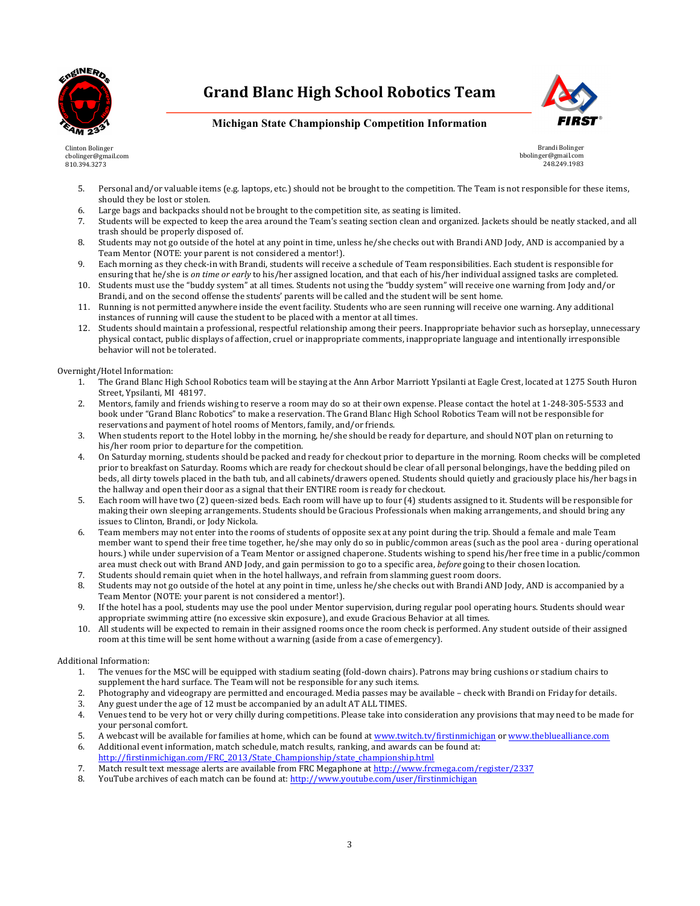



### **Michigan State Championship Competition Information**

Clinton Bolinger cbolinger@gmail.com 810.394.3273

Brandi Bolinger bbolinger@gmail.com 248.249.1983

- 5. Personal and/or valuable items (e.g. laptops, etc.) should not be brought to the competition. The Team is not responsible for these items, should they be lost or stolen.
- 6. Large bags and backpacks should not be brought to the competition site, as seating is limited.
- 7. Students will be expected to keep the area around the Team's seating section clean and organized. Jackets should be neatly stacked, and all trash should be properly disposed of.
- 8. Students may not go outside of the hotel at any point in time, unless he/she checks out with Brandi AND Jody, AND is accompanied by a Team Mentor (NOTE: your parent is not considered a mentor!).
- 9. Each morning as they check-in with Brandi, students will receive a schedule of Team responsibilities. Each student is responsible for ensuring that he/she is *on time or early* to his/her assigned location, and that each of his/her individual assigned tasks are completed.
- 10. Students must use the "buddy system" at all times. Students not using the "buddy system" will receive one warning from Jody and/or Brandi, and on the second offense the students' parents will be called and the student will be sent home.
- 11. Running is not permitted anywhere inside the event facility. Students who are seen running will receive one warning. Any additional instances of running will cause the student to be placed with a mentor at all times.
- 12. Students should maintain a professional, respectful relationship among their peers. Inappropriate behavior such as horseplay, unnecessary physical contact, public displays of affection, cruel or inappropriate comments, inappropriate language and intentionally irresponsible behavior will not be tolerated.

Overnight/Hotel Information:

- 1. The Grand Blanc High School Robotics team will be staying at the Ann Arbor Marriott Ypsilanti at Eagle Crest, located at 1275 South Huron Street, Ypsilanti, MI 48197.
- 2. Mentors, family and friends wishing to reserve a room may do so at their own expense. Please contact the hotel at 1-248-305-5533 and book under "Grand Blanc Robotics" to make a reservation. The Grand Blanc High School Robotics Team will not be responsible for reservations and payment of hotel rooms of Mentors, family, and/or friends.
- 3. When students report to the Hotel lobby in the morning, he/she should be ready for departure, and should NOT plan on returning to his/her room prior to departure for the competition.
- 4. On Saturday morning, students should be packed and ready for checkout prior to departure in the morning. Room checks will be completed prior to breakfast on Saturday. Rooms which are ready for checkout should be clear of all personal belongings, have the bedding piled on beds, all dirty towels placed in the bath tub, and all cabinets/drawers opened. Students should quietly and graciously place his/her bags in the hallway and open their door as a signal that their ENTIRE room is ready for checkout.
- 5. Each room will have two (2) queen-sized beds. Each room will have up to four (4) students assigned to it. Students will be responsible for making their own sleeping arrangements. Students should be Gracious Professionals when making arrangements, and should bring any issues to Clinton, Brandi, or Jody Nickola.
- 6. Team members may not enter into the rooms of students of opposite sex at any point during the trip. Should a female and male Team member want to spend their free time together, he/she may only do so in public/common areas (such as the pool area - during operational hours.) while under supervision of a Team Mentor or assigned chaperone. Students wishing to spend his/her free time in a public/common area must check out with Brand AND Jody, and gain permission to go to a specific area, *before* going to their chosen location.
- 7. Students should remain quiet when in the hotel hallways, and refrain from slamming guest room doors.
- 8. Students may not go outside of the hotel at any point in time, unless he/she checks out with Brandi AND Jody, AND is accompanied by a Team Mentor (NOTE: your parent is not considered a mentor!).
- 9. If the hotel has a pool, students may use the pool under Mentor supervision, during regular pool operating hours. Students should wear appropriate swimming attire (no excessive skin exposure), and exude Gracious Behavior at all times.
- 10. All students will be expected to remain in their assigned rooms once the room check is performed. Any student outside of their assigned room at this time will be sent home without a warning (aside from a case of emergency).

#### Additional Information:

- 1. The venues for the MSC will be equipped with stadium seating (fold-down chairs). Patrons may bring cushions or stadium chairs to supplement the hard surface. The Team will not be responsible for any such items.
- 2. Photography and videograpy are permitted and encouraged. Media passes may be available check with Brandi on Friday for details.
- 3. Any guest under the age of 12 must be accompanied by an adult AT ALL TIMES.
- 4. Venues tend to be very hot or very chilly during competitions. Please take into consideration any provisions that may need to be made for your personal comfort.
- 5. A webcast will be available for families at home, which can be found at www.twitch.tv/firstinmichigan or www.thebluealliance.com
- 6. Additional event information, match schedule, match results, ranking, and awards can be found at: http://firstinmichigan.com/FRC\_2013/State\_Championship/state\_championship.html
- 7. Match result text message alerts are available from FRC Megaphone at http://www.frcmega.com/register/2337
- 8. YouTube archives of each match can be found at: http://www.youtube.com/user/firstinmichigan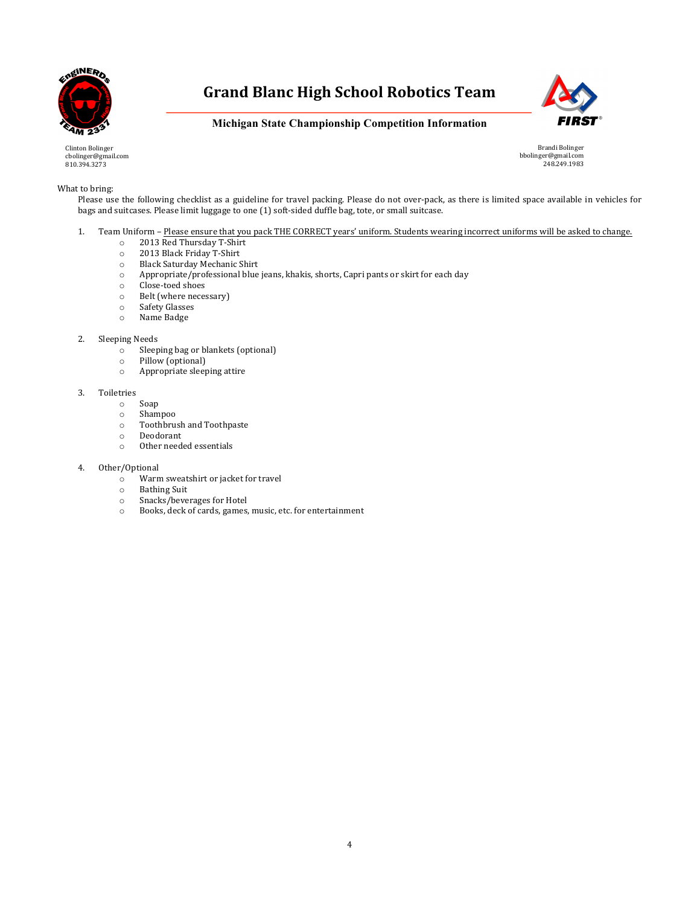



**Michigan State Championship Competition Information**

Clinton Bolinger cbolinger@gmail.com 810.394.3273

Brandi Bolinger bbolinger@gmail.com 248.249.1983

#### What to bring:

Please use the following checklist as a guideline for travel packing. Please do not over-pack, as there is limited space available in vehicles for bags and suitcases. Please limit luggage to one (1) soft-sided duffle bag, tote, or small suitcase.

- 1. Team Uniform Please ensure that you pack THE CORRECT years' uniform. Students wearing incorrect uniforms will be asked to change.
	- o 2013 Red Thursday T-Shirt<br>
	o 2013 Black Friday T-Shirt
	- 2013 Black Friday T-Shirt
	- o Black Saturday Mechanic Shirt<br>
	o Appropriate/professional blue
	- Appropriate/professional blue jeans, khakis, shorts, Capri pants or skirt for each day
	- o Close-toed shoes
	- o Belt (where necessary)
	- o Safety Glasses
	- o Name Badge

#### 2. Sleeping Needs

- o Sleeping bag or blankets (optional)
- o Pillow (optional)
- o Appropriate sleeping attire

#### 3. Toiletries

- o Soap
- o Shampoo
- $\circ$  Toothbrush and Toothpaste
- o Deodorant
- Other needed essentials
- 4. Other/Optional
	- $\circ$  Warm sweatshirt or jacket for travel  $\circ$  Bathing Suit
	- **Bathing Suit**
	- o Snacks/beverages for Hotel
	- o Books, deck of cards, games, music, etc. for entertainment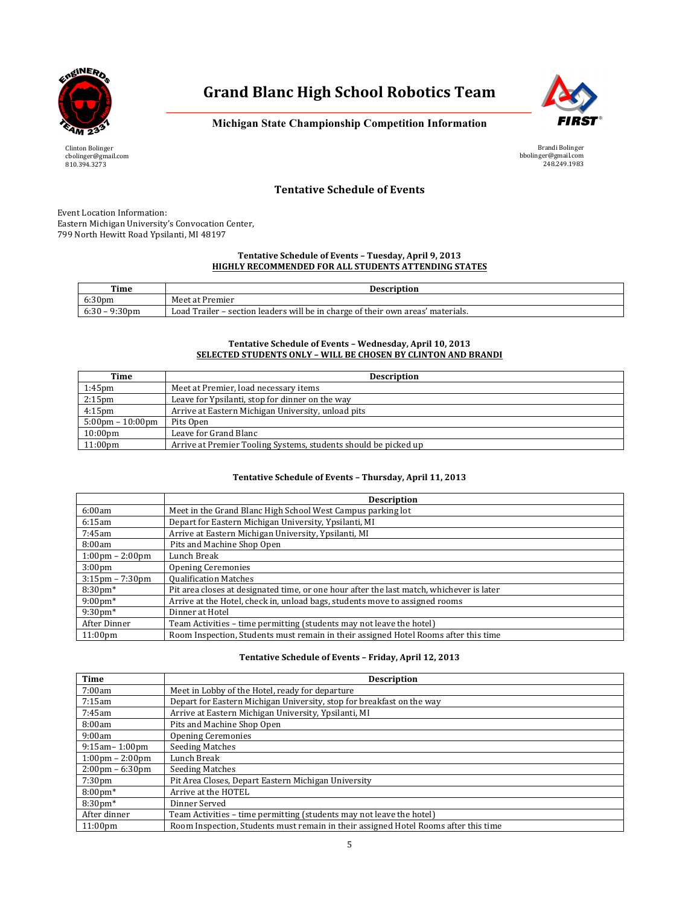



**Michigan State Championship Competition Information**

Clinton Bolinger cbolinger@gmail.com 810.394.3273

Brandi Bolinger bbolinger@gmail.com 248.249.1983

### **Tentative Schedule of Events**

Event Location Information: Eastern Michigan University's Convocation Center, 799 North Hewitt Road Ypsilanti, MI 48197

#### Tentative Schedule of Events - Tuesday, April 9, 2013 **HIGHLY RECOMMENDED FOR ALL STUDENTS ATTENDING STATES**

| Time                            | <b>Description</b>                                                              |
|---------------------------------|---------------------------------------------------------------------------------|
| 6:30 <sub>pm</sub>              | Meet at Premier                                                                 |
| 6:30<br>9:30 <sub>pm</sub><br>- | Load Trailer – section leaders will be in charge of their own areas' materials. |

#### Tentative Schedule of Events - Wednesday, April 10, 2013 **SELECTED STUDENTS ONLY - WILL BE CHOSEN BY CLINTON AND BRANDI**

| Time                               | <b>Description</b>                                              |
|------------------------------------|-----------------------------------------------------------------|
| $1:45$ pm                          | Meet at Premier, load necessary items                           |
| 2:15 <sub>pm</sub>                 | Leave for Ypsilanti, stop for dinner on the way                 |
| $4:15$ pm                          | Arrive at Eastern Michigan University, unload pits              |
| $5:00 \text{pm} - 10:00 \text{pm}$ | Pits Open                                                       |
| $10:00 \text{pm}$                  | Leave for Grand Blanc                                           |
| $11:00$ pm                         | Arrive at Premier Tooling Systems, students should be picked up |

#### Tentative Schedule of Events - Thursday, April 11, 2013

|                                   | <b>Description</b>                                                                       |
|-----------------------------------|------------------------------------------------------------------------------------------|
| 6:00am                            | Meet in the Grand Blanc High School West Campus parking lot                              |
| 6:15am                            | Depart for Eastern Michigan University, Ypsilanti, MI                                    |
| 7:45am                            | Arrive at Eastern Michigan University, Ypsilanti, MI                                     |
| 8:00am                            | Pits and Machine Shop Open                                                               |
| $1:00 \text{pm} - 2:00 \text{pm}$ | Lunch Break                                                                              |
| 3:00 <sub>pm</sub>                | <b>Opening Ceremonies</b>                                                                |
| $3:15 \text{pm} - 7:30 \text{pm}$ | <b>Qualification Matches</b>                                                             |
| $8:30 \text{pm}^*$                | Pit area closes at designated time, or one hour after the last match, whichever is later |
| $9:00 \text{pm}^*$                | Arrive at the Hotel, check in, unload bags, students move to assigned rooms              |
| $9:30 \text{pm}^*$                | Dinner at Hotel                                                                          |
| After Dinner                      | Team Activities - time permitting (students may not leave the hotel)                     |
| 11:00 <sub>pm</sub>               | Room Inspection, Students must remain in their assigned Hotel Rooms after this time      |

#### Tentative Schedule of Events - Friday, April 12, 2013

| Time                                      | <b>Description</b>                                                                  |
|-------------------------------------------|-------------------------------------------------------------------------------------|
| 7:00am                                    | Meet in Lobby of the Hotel, ready for departure                                     |
| 7:15am                                    | Depart for Eastern Michigan University, stop for breakfast on the way               |
| 7:45am                                    | Arrive at Eastern Michigan University, Ypsilanti, MI                                |
| 8:00am                                    | Pits and Machine Shop Open                                                          |
| 9:00am                                    | <b>Opening Ceremonies</b>                                                           |
| $9:15$ am – $1:00$ pm                     | <b>Seeding Matches</b>                                                              |
| $1:00 \,\mathrm{nm} - 2:00 \,\mathrm{nm}$ | Lunch Break                                                                         |
| $2:00 \text{pm} - 6:30 \text{pm}$         | <b>Seeding Matches</b>                                                              |
| 7:30 <sub>pm</sub>                        | Pit Area Closes, Depart Eastern Michigan University                                 |
| $8:00 \text{pm}^*$                        | Arrive at the HOTEL                                                                 |
| $8:30$ pm $*$                             | Dinner Served                                                                       |
| After dinner                              | Team Activities - time permitting (students may not leave the hotel)                |
| $11:00$ pm                                | Room Inspection, Students must remain in their assigned Hotel Rooms after this time |